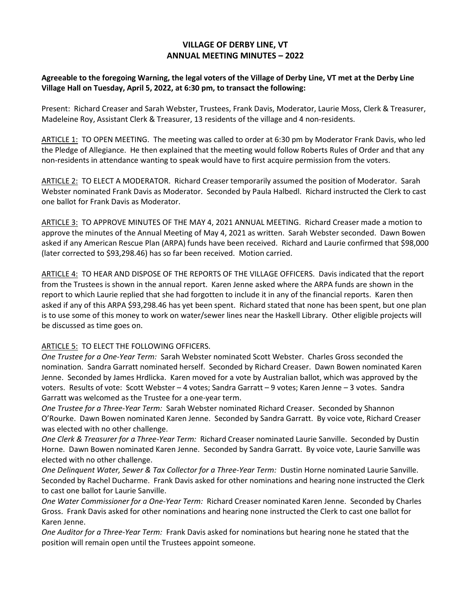## **VILLAGE OF DERBY LINE, VT ANNUAL MEETING MINUTES – 2022**

## **Agreeable to the foregoing Warning, the legal voters of the Village of Derby Line, VT met at the Derby Line Village Hall on Tuesday, April 5, 2022, at 6:30 pm, to transact the following:**

Present: Richard Creaser and Sarah Webster, Trustees, Frank Davis, Moderator, Laurie Moss, Clerk & Treasurer, Madeleine Roy, Assistant Clerk & Treasurer, 13 residents of the village and 4 non-residents.

ARTICLE 1: TO OPEN MEETING. The meeting was called to order at 6:30 pm by Moderator Frank Davis, who led the Pledge of Allegiance. He then explained that the meeting would follow Roberts Rules of Order and that any non-residents in attendance wanting to speak would have to first acquire permission from the voters.

ARTICLE 2: TO ELECT A MODERATOR. Richard Creaser temporarily assumed the position of Moderator. Sarah Webster nominated Frank Davis as Moderator. Seconded by Paula Halbedl. Richard instructed the Clerk to cast one ballot for Frank Davis as Moderator.

ARTICLE 3: TO APPROVE MINUTES OF THE MAY 4, 2021 ANNUAL MEETING. Richard Creaser made a motion to approve the minutes of the Annual Meeting of May 4, 2021 as written. Sarah Webster seconded. Dawn Bowen asked if any American Rescue Plan (ARPA) funds have been received. Richard and Laurie confirmed that \$98,000 (later corrected to \$93,298.46) has so far been received. Motion carried.

ARTICLE 4: TO HEAR AND DISPOSE OF THE REPORTS OF THE VILLAGE OFFICERS. Davis indicated that the report from the Trustees is shown in the annual report. Karen Jenne asked where the ARPA funds are shown in the report to which Laurie replied that she had forgotten to include it in any of the financial reports. Karen then asked if any of this ARPA \$93,298.46 has yet been spent. Richard stated that none has been spent, but one plan is to use some of this money to work on water/sewer lines near the Haskell Library. Other eligible projects will be discussed as time goes on.

## ARTICLE 5: TO ELECT THE FOLLOWING OFFICERS.

*One Trustee for a One-Year Term:* Sarah Webster nominated Scott Webster. Charles Gross seconded the nomination. Sandra Garratt nominated herself. Seconded by Richard Creaser. Dawn Bowen nominated Karen Jenne. Seconded by James Hrdlicka. Karen moved for a vote by Australian ballot, which was approved by the voters. Results of vote: Scott Webster – 4 votes; Sandra Garratt – 9 votes; Karen Jenne – 3 votes. Sandra Garratt was welcomed as the Trustee for a one-year term.

*One Trustee for a Three-Year Term:* Sarah Webster nominated Richard Creaser. Seconded by Shannon O'Rourke. Dawn Bowen nominated Karen Jenne. Seconded by Sandra Garratt. By voice vote, Richard Creaser was elected with no other challenge.

*One Clerk & Treasurer for a Three-Year Term:* Richard Creaser nominated Laurie Sanville. Seconded by Dustin Horne. Dawn Bowen nominated Karen Jenne. Seconded by Sandra Garratt. By voice vote, Laurie Sanville was elected with no other challenge.

*One Delinquent Water, Sewer & Tax Collector for a Three-Year Term:* Dustin Horne nominated Laurie Sanville. Seconded by Rachel Ducharme. Frank Davis asked for other nominations and hearing none instructed the Clerk to cast one ballot for Laurie Sanville.

*One Water Commissioner for a One-Year Term:* Richard Creaser nominated Karen Jenne. Seconded by Charles Gross. Frank Davis asked for other nominations and hearing none instructed the Clerk to cast one ballot for Karen Jenne.

*One Auditor for a Three-Year Term:* Frank Davis asked for nominations but hearing none he stated that the position will remain open until the Trustees appoint someone.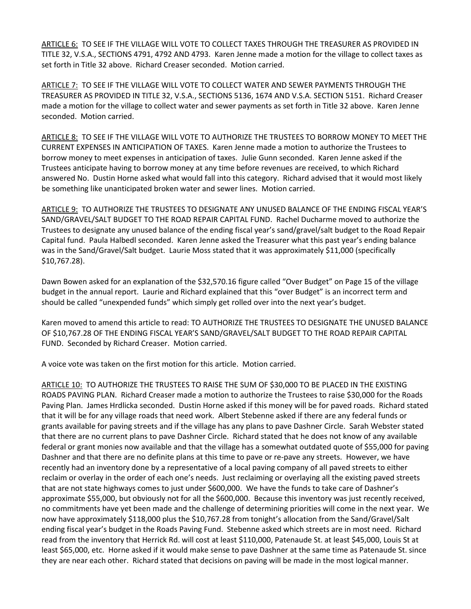ARTICLE 6: TO SEE IF THE VILLAGE WILL VOTE TO COLLECT TAXES THROUGH THE TREASURER AS PROVIDED IN TITLE 32, V.S.A., SECTIONS 4791, 4792 AND 4793. Karen Jenne made a motion for the village to collect taxes as set forth in Title 32 above. Richard Creaser seconded. Motion carried.

ARTICLE 7: TO SEE IF THE VILLAGE WILL VOTE TO COLLECT WATER AND SEWER PAYMENTS THROUGH THE TREASURER AS PROVIDED IN TITLE 32, V.S.A., SECTIONS 5136, 1674 AND V.S.A. SECTION 5151. Richard Creaser made a motion for the village to collect water and sewer payments as set forth in Title 32 above. Karen Jenne seconded. Motion carried.

ARTICLE 8: TO SEE IF THE VILLAGE WILL VOTE TO AUTHORIZE THE TRUSTEES TO BORROW MONEY TO MEET THE CURRENT EXPENSES IN ANTICIPATION OF TAXES. Karen Jenne made a motion to authorize the Trustees to borrow money to meet expenses in anticipation of taxes. Julie Gunn seconded. Karen Jenne asked if the Trustees anticipate having to borrow money at any time before revenues are received, to which Richard answered No. Dustin Horne asked what would fall into this category. Richard advised that it would most likely be something like unanticipated broken water and sewer lines. Motion carried.

ARTICLE 9: TO AUTHORIZE THE TRUSTEES TO DESIGNATE ANY UNUSED BALANCE OF THE ENDING FISCAL YEAR'S SAND/GRAVEL/SALT BUDGET TO THE ROAD REPAIR CAPITAL FUND. Rachel Ducharme moved to authorize the Trustees to designate any unused balance of the ending fiscal year's sand/gravel/salt budget to the Road Repair Capital fund. Paula Halbedl seconded. Karen Jenne asked the Treasurer what this past year's ending balance was in the Sand/Gravel/Salt budget. Laurie Moss stated that it was approximately \$11,000 (specifically \$10,767.28).

Dawn Bowen asked for an explanation of the \$32,570.16 figure called "Over Budget" on Page 15 of the village budget in the annual report. Laurie and Richard explained that this "over Budget" is an incorrect term and should be called "unexpended funds" which simply get rolled over into the next year's budget.

Karen moved to amend this article to read: TO AUTHORIZE THE TRUSTEES TO DESIGNATE THE UNUSED BALANCE OF \$10,767.28 OF THE ENDING FISCAL YEAR'S SAND/GRAVEL/SALT BUDGET TO THE ROAD REPAIR CAPITAL FUND. Seconded by Richard Creaser. Motion carried.

A voice vote was taken on the first motion for this article. Motion carried.

ARTICLE 10: TO AUTHORIZE THE TRUSTEES TO RAISE THE SUM OF \$30,000 TO BE PLACED IN THE EXISTING ROADS PAVING PLAN. Richard Creaser made a motion to authorize the Trustees to raise \$30,000 for the Roads Paving Plan. James Hrdlicka seconded. Dustin Horne asked if this money will be for paved roads. Richard stated that it will be for any village roads that need work. Albert Stebenne asked if there are any federal funds or grants available for paving streets and if the village has any plans to pave Dashner Circle. Sarah Webster stated that there are no current plans to pave Dashner Circle. Richard stated that he does not know of any available federal or grant monies now available and that the village has a somewhat outdated quote of \$55,000 for paving Dashner and that there are no definite plans at this time to pave or re-pave any streets. However, we have recently had an inventory done by a representative of a local paving company of all paved streets to either reclaim or overlay in the order of each one's needs. Just reclaiming or overlaying all the existing paved streets that are not state highways comes to just under \$600,000. We have the funds to take care of Dashner's approximate \$55,000, but obviously not for all the \$600,000. Because this inventory was just recently received, no commitments have yet been made and the challenge of determining priorities will come in the next year. We now have approximately \$118,000 plus the \$10,767.28 from tonight's allocation from the Sand/Gravel/Salt ending fiscal year's budget in the Roads Paving Fund. Stebenne asked which streets are in most need. Richard read from the inventory that Herrick Rd. will cost at least \$110,000, Patenaude St. at least \$45,000, Louis St at least \$65,000, etc. Horne asked if it would make sense to pave Dashner at the same time as Patenaude St. since they are near each other. Richard stated that decisions on paving will be made in the most logical manner.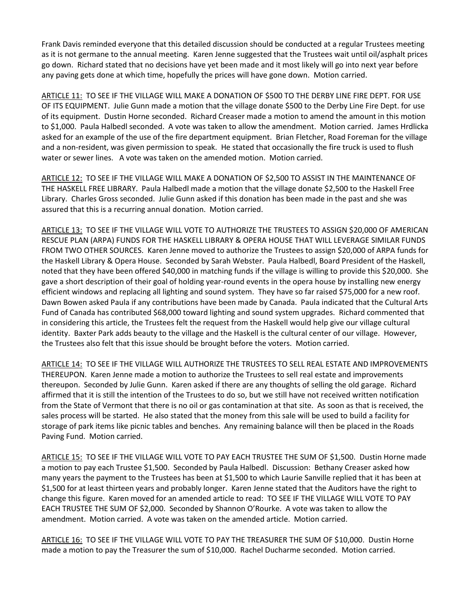Frank Davis reminded everyone that this detailed discussion should be conducted at a regular Trustees meeting as it is not germane to the annual meeting. Karen Jenne suggested that the Trustees wait until oil/asphalt prices go down. Richard stated that no decisions have yet been made and it most likely will go into next year before any paving gets done at which time, hopefully the prices will have gone down. Motion carried.

ARTICLE 11: TO SEE IF THE VILLAGE WILL MAKE A DONATION OF \$500 TO THE DERBY LINE FIRE DEPT. FOR USE OF ITS EQUIPMENT. Julie Gunn made a motion that the village donate \$500 to the Derby Line Fire Dept. for use of its equipment. Dustin Horne seconded. Richard Creaser made a motion to amend the amount in this motion to \$1,000. Paula Halbedl seconded. A vote was taken to allow the amendment. Motion carried. James Hrdlicka asked for an example of the use of the fire department equipment. Brian Fletcher, Road Foreman for the village and a non-resident, was given permission to speak. He stated that occasionally the fire truck is used to flush water or sewer lines. A vote was taken on the amended motion. Motion carried.

ARTICLE 12: TO SEE IF THE VILLAGE WILL MAKE A DONATION OF \$2,500 TO ASSIST IN THE MAINTENANCE OF THE HASKELL FREE LIBRARY. Paula Halbedl made a motion that the village donate \$2,500 to the Haskell Free Library. Charles Gross seconded. Julie Gunn asked if this donation has been made in the past and she was assured that this is a recurring annual donation. Motion carried.

ARTICLE 13: TO SEE IF THE VILLAGE WILL VOTE TO AUTHORIZE THE TRUSTEES TO ASSIGN \$20,000 OF AMERICAN RESCUE PLAN (ARPA) FUNDS FOR THE HASKELL LIBRARY & OPERA HOUSE THAT WILL LEVERAGE SIMILAR FUNDS FROM TWO OTHER SOURCES. Karen Jenne moved to authorize the Trustees to assign \$20,000 of ARPA funds for the Haskell Library & Opera House. Seconded by Sarah Webster. Paula Halbedl, Board President of the Haskell, noted that they have been offered \$40,000 in matching funds if the village is willing to provide this \$20,000. She gave a short description of their goal of holding year-round events in the opera house by installing new energy efficient windows and replacing all lighting and sound system. They have so far raised \$75,000 for a new roof. Dawn Bowen asked Paula if any contributions have been made by Canada. Paula indicated that the Cultural Arts Fund of Canada has contributed \$68,000 toward lighting and sound system upgrades. Richard commented that in considering this article, the Trustees felt the request from the Haskell would help give our village cultural identity. Baxter Park adds beauty to the village and the Haskell is the cultural center of our village. However, the Trustees also felt that this issue should be brought before the voters. Motion carried.

ARTICLE 14: TO SEE IF THE VILLAGE WILL AUTHORIZE THE TRUSTEES TO SELL REAL ESTATE AND IMPROVEMENTS THEREUPON. Karen Jenne made a motion to authorize the Trustees to sell real estate and improvements thereupon. Seconded by Julie Gunn. Karen asked if there are any thoughts of selling the old garage. Richard affirmed that it is still the intention of the Trustees to do so, but we still have not received written notification from the State of Vermont that there is no oil or gas contamination at that site. As soon as that is received, the sales process will be started. He also stated that the money from this sale will be used to build a facility for storage of park items like picnic tables and benches. Any remaining balance will then be placed in the Roads Paving Fund. Motion carried.

ARTICLE 15: TO SEE IF THE VILLAGE WILL VOTE TO PAY EACH TRUSTEE THE SUM OF \$1,500. Dustin Horne made a motion to pay each Trustee \$1,500. Seconded by Paula Halbedl. Discussion: Bethany Creaser asked how many years the payment to the Trustees has been at \$1,500 to which Laurie Sanville replied that it has been at \$1,500 for at least thirteen years and probably longer. Karen Jenne stated that the Auditors have the right to change this figure. Karen moved for an amended article to read: TO SEE IF THE VILLAGE WILL VOTE TO PAY EACH TRUSTEE THE SUM OF \$2,000. Seconded by Shannon O'Rourke. A vote was taken to allow the amendment. Motion carried. A vote was taken on the amended article. Motion carried.

ARTICLE 16: TO SEE IF THE VILLAGE WILL VOTE TO PAY THE TREASURER THE SUM OF \$10,000. Dustin Horne made a motion to pay the Treasurer the sum of \$10,000. Rachel Ducharme seconded. Motion carried.